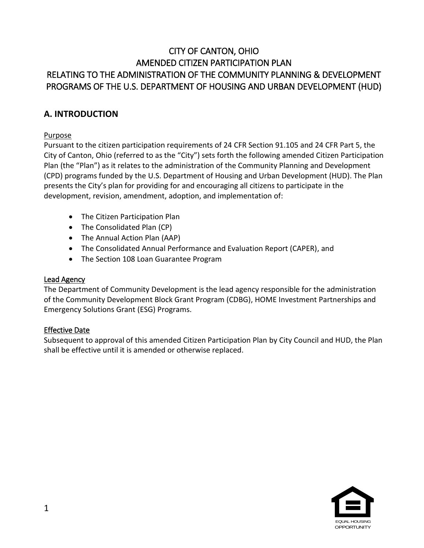# CITY OF CANTON, OHIO AMENDED CITIZEN PARTICIPATION PLAN RELATING TO THE ADMINISTRATION OF THE COMMUNITY PLANNING & DEVELOPMENT PROGRAMS OF THE U.S. DEPARTMENT OF HOUSING AND URBAN DEVELOPMENT (HUD)

## **A. INTRODUCTION**

## Purpose

Pursuant to the citizen participation requirements of 24 CFR Section 91.105 and 24 CFR Part 5, the City of Canton, Ohio (referred to as the "City") sets forth the following amended Citizen Participation Plan (the "Plan") as it relates to the administration of the Community Planning and Development (CPD) programs funded by the U.S. Department of Housing and Urban Development (HUD). The Plan presents the City's plan for providing for and encouraging all citizens to participate in the development, revision, amendment, adoption, and implementation of:

- The Citizen Participation Plan
- The Consolidated Plan (CP)
- The Annual Action Plan (AAP)
- The Consolidated Annual Performance and Evaluation Report (CAPER), and
- The Section 108 Loan Guarantee Program

#### Lead Agency

The Department of Community Development is the lead agency responsible for the administration of the Community Development Block Grant Program (CDBG), HOME Investment Partnerships and Emergency Solutions Grant (ESG) Programs.

#### Effective Date

Subsequent to approval of this amended Citizen Participation Plan by City Council and HUD, the Plan shall be effective until it is amended or otherwise replaced.

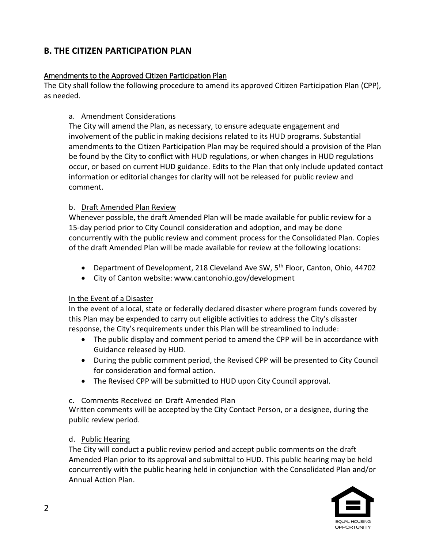# **B. THE CITIZEN PARTICIPATION PLAN**

## Amendments to the Approved Citizen Participation Plan

The City shall follow the following procedure to amend its approved Citizen Participation Plan (CPP), as needed.

## a. Amendment Considerations

The City will amend the Plan, as necessary, to ensure adequate engagement and involvement of the public in making decisions related to its HUD programs. Substantial amendments to the Citizen Participation Plan may be required should a provision of the Plan be found by the City to conflict with HUD regulations, or when changes in HUD regulations occur, or based on current HUD guidance. Edits to the Plan that only include updated contact information or editorial changes for clarity will not be released for public review and comment.

## b. Draft Amended Plan Review

Whenever possible, the draft Amended Plan will be made available for public review for a 15-day period prior to City Council consideration and adoption, and may be done concurrently with the public review and comment process for the Consolidated Plan. Copies of the draft Amended Plan will be made available for review at the following locations:

- Department of Development, 218 Cleveland Ave SW, 5<sup>th</sup> Floor, Canton, Ohio, 44702
- City of Canton website: www.cantonohio.gov/development

#### In the Event of a Disaster

In the event of a local, state or federally declared disaster where program funds covered by this Plan may be expended to carry out eligible activities to address the City's disaster response, the City's requirements under this Plan will be streamlined to include:

- The public display and comment period to amend the CPP will be in accordance with Guidance released by HUD.
- During the public comment period, the Revised CPP will be presented to City Council for consideration and formal action.
- The Revised CPP will be submitted to HUD upon City Council approval.

#### c. Comments Received on Draft Amended Plan

Written comments will be accepted by the City Contact Person, or a designee, during the public review period.

#### d. Public Hearing

The City will conduct a public review period and accept public comments on the draft Amended Plan prior to its approval and submittal to HUD. This public hearing may be held concurrently with the public hearing held in conjunction with the Consolidated Plan and/or Annual Action Plan.

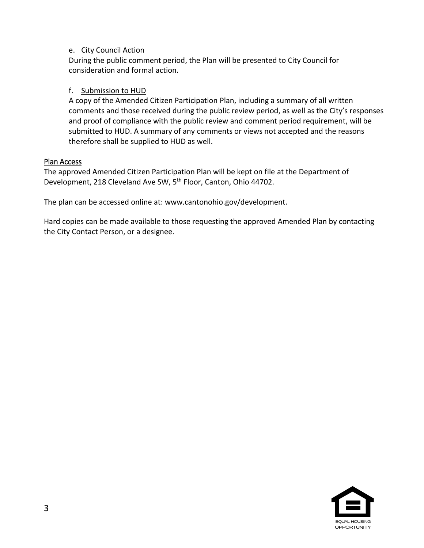#### e. City Council Action

During the public comment period, the Plan will be presented to City Council for consideration and formal action.

#### f. Submission to HUD

A copy of the Amended Citizen Participation Plan, including a summary of all written comments and those received during the public review period, as well as the City's responses and proof of compliance with the public review and comment period requirement, will be submitted to HUD. A summary of any comments or views not accepted and the reasons therefore shall be supplied to HUD as well.

#### Plan Access

The approved Amended Citizen Participation Plan will be kept on file at the Department of Development, 218 Cleveland Ave SW, 5<sup>th</sup> Floor, Canton, Ohio 44702.

The plan can be accessed online at: www.cantonohio.gov/development.

Hard copies can be made available to those requesting the approved Amended Plan by contacting the City Contact Person, or a designee.

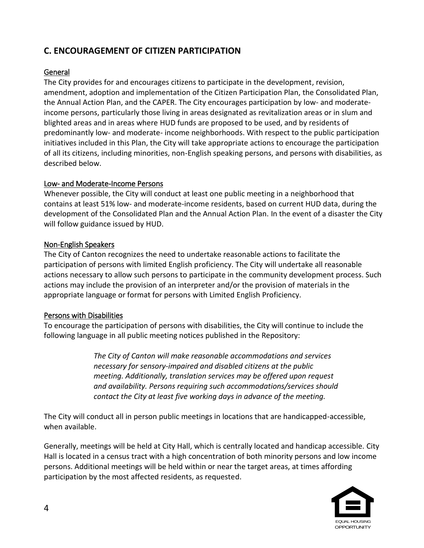# **C. ENCOURAGEMENT OF CITIZEN PARTICIPATION**

## General

The City provides for and encourages citizens to participate in the development, revision, amendment, adoption and implementation of the Citizen Participation Plan, the Consolidated Plan, the Annual Action Plan, and the CAPER. The City encourages participation by low- and moderateincome persons, particularly those living in areas designated as revitalization areas or in slum and blighted areas and in areas where HUD funds are proposed to be used, and by residents of predominantly low- and moderate- income neighborhoods. With respect to the public participation initiatives included in this Plan, the City will take appropriate actions to encourage the participation of all its citizens, including minorities, non-English speaking persons, and persons with disabilities, as described below.

#### Low- and Moderate-Income Persons

Whenever possible, the City will conduct at least one public meeting in a neighborhood that contains at least 51% low- and moderate-income residents, based on current HUD data, during the development of the Consolidated Plan and the Annual Action Plan. In the event of a disaster the City will follow guidance issued by HUD.

#### Non-English Speakers

The City of Canton recognizes the need to undertake reasonable actions to facilitate the participation of persons with limited English proficiency. The City will undertake all reasonable actions necessary to allow such persons to participate in the community development process. Such actions may include the provision of an interpreter and/or the provision of materials in the appropriate language or format for persons with Limited English Proficiency.

#### Persons with Disabilities

To encourage the participation of persons with disabilities, the City will continue to include the following language in all public meeting notices published in the Repository:

> *The City of Canton will make reasonable accommodations and services necessary for sensory-impaired and disabled citizens at the public meeting. Additionally, translation services may be offered upon request and availability. Persons requiring such accommodations/services should contact the City at least five working days in advance of the meeting.*

The City will conduct all in person public meetings in locations that are handicapped-accessible, when available.

Generally, meetings will be held at City Hall, which is centrally located and handicap accessible. City Hall is located in a census tract with a high concentration of both minority persons and low income persons. Additional meetings will be held within or near the target areas, at times affording participation by the most affected residents, as requested.

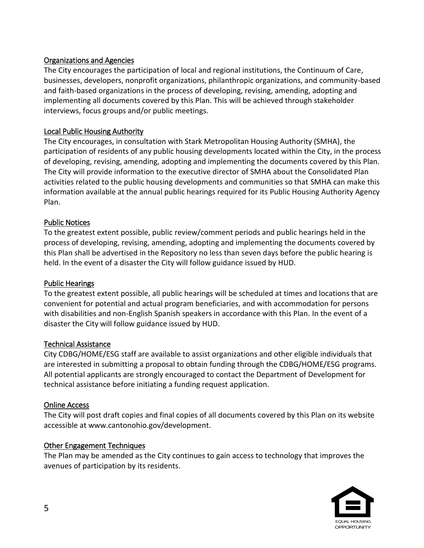## Organizations and Agencies

The City encourages the participation of local and regional institutions, the Continuum of Care, businesses, developers, nonprofit organizations, philanthropic organizations, and community-based and faith-based organizations in the process of developing, revising, amending, adopting and implementing all documents covered by this Plan. This will be achieved through stakeholder interviews, focus groups and/or public meetings.

### Local Public Housing Authority

The City encourages, in consultation with Stark Metropolitan Housing Authority (SMHA), the participation of residents of any public housing developments located within the City, in the process of developing, revising, amending, adopting and implementing the documents covered by this Plan. The City will provide information to the executive director of SMHA about the Consolidated Plan activities related to the public housing developments and communities so that SMHA can make this information available at the annual public hearings required for its Public Housing Authority Agency Plan.

#### Public Notices

To the greatest extent possible, public review/comment periods and public hearings held in the process of developing, revising, amending, adopting and implementing the documents covered by this Plan shall be advertised in the Repository no less than seven days before the public hearing is held. In the event of a disaster the City will follow guidance issued by HUD.

#### Public Hearings

To the greatest extent possible, all public hearings will be scheduled at times and locations that are convenient for potential and actual program beneficiaries, and with accommodation for persons with disabilities and non-English Spanish speakers in accordance with this Plan. In the event of a disaster the City will follow guidance issued by HUD.

#### Technical Assistance

City CDBG/HOME/ESG staff are available to assist organizations and other eligible individuals that are interested in submitting a proposal to obtain funding through the CDBG/HOME/ESG programs. All potential applicants are strongly encouraged to contact the Department of Development for technical assistance before initiating a funding request application.

#### Online Access

The City will post draft copies and final copies of all documents covered by this Plan on its website accessible at www.cantonohio.gov/development.

#### Other Engagement Techniques

The Plan may be amended as the City continues to gain access to technology that improves the avenues of participation by its residents.

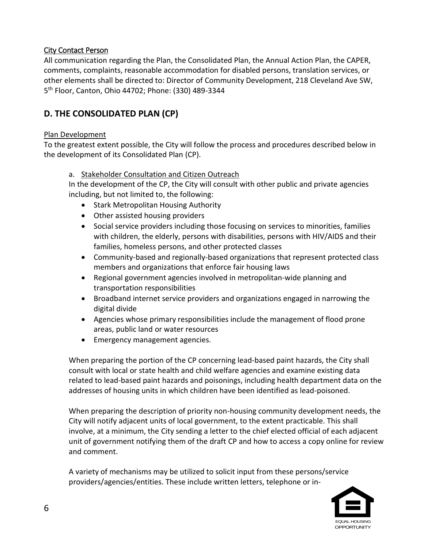## City Contact Person

All communication regarding the Plan, the Consolidated Plan, the Annual Action Plan, the CAPER, comments, complaints, reasonable accommodation for disabled persons, translation services, or other elements shall be directed to: Director of Community Development, 218 Cleveland Ave SW, 5 th Floor, Canton, Ohio 44702; Phone: (330) 489-3344

# **D. THE CONSOLIDATED PLAN (CP)**

## Plan Development

To the greatest extent possible, the City will follow the process and procedures described below in the development of its Consolidated Plan (CP).

#### a. Stakeholder Consultation and Citizen Outreach

In the development of the CP, the City will consult with other public and private agencies including, but not limited to, the following:

- Stark Metropolitan Housing Authority
- Other assisted housing providers
- Social service providers including those focusing on services to minorities, families with children, the elderly, persons with disabilities, persons with HIV/AIDS and their families, homeless persons, and other protected classes
- Community-based and regionally-based organizations that represent protected class members and organizations that enforce fair housing laws
- Regional government agencies involved in metropolitan-wide planning and transportation responsibilities
- Broadband internet service providers and organizations engaged in narrowing the digital divide
- Agencies whose primary responsibilities include the management of flood prone areas, public land or water resources
- Emergency management agencies.

When preparing the portion of the CP concerning lead-based paint hazards, the City shall consult with local or state health and child welfare agencies and examine existing data related to lead-based paint hazards and poisonings, including health department data on the addresses of housing units in which children have been identified as lead-poisoned.

When preparing the description of priority non-housing community development needs, the City will notify adjacent units of local government, to the extent practicable. This shall involve, at a minimum, the City sending a letter to the chief elected official of each adjacent unit of government notifying them of the draft CP and how to access a copy online for review and comment.

A variety of mechanisms may be utilized to solicit input from these persons/service providers/agencies/entities. These include written letters, telephone or in-

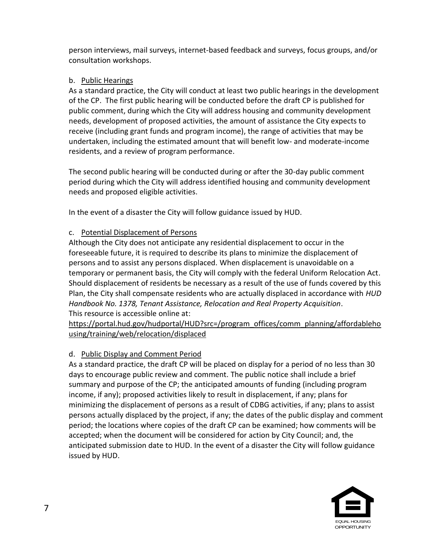person interviews, mail surveys, internet-based feedback and surveys, focus groups, and/or consultation workshops.

## b. Public Hearings

As a standard practice, the City will conduct at least two public hearings in the development of the CP. The first public hearing will be conducted before the draft CP is published for public comment, during which the City will address housing and community development needs, development of proposed activities, the amount of assistance the City expects to receive (including grant funds and program income), the range of activities that may be undertaken, including the estimated amount that will benefit low- and moderate-income residents, and a review of program performance.

The second public hearing will be conducted during or after the 30-day public comment period during which the City will address identified housing and community development needs and proposed eligible activities.

In the event of a disaster the City will follow guidance issued by HUD.

## c. Potential Displacement of Persons

Although the City does not anticipate any residential displacement to occur in the foreseeable future, it is required to describe its plans to minimize the displacement of persons and to assist any persons displaced. When displacement is unavoidable on a temporary or permanent basis, the City will comply with the federal Uniform Relocation Act. Should displacement of residents be necessary as a result of the use of funds covered by this Plan, the City shall compensate residents who are actually displaced in accordance with *HUD Handbook No. 1378, Tenant Assistance, Relocation and Real Property Acquisition*. This resource is accessible online at:

[https://portal.hud.gov/hudportal/HUD?src=/program\\_offices/comm\\_planning/affordableho](https://portal.hud.gov/hudportal/HUD?src=/program_offices/comm_planning/affordablehousing/training/web/relocation/displaced) [using/training/web/relocation/displaced](https://portal.hud.gov/hudportal/HUD?src=/program_offices/comm_planning/affordablehousing/training/web/relocation/displaced)

## d. Public Display and Comment Period

As a standard practice, the draft CP will be placed on display for a period of no less than 30 days to encourage public review and comment. The public notice shall include a brief summary and purpose of the CP; the anticipated amounts of funding (including program income, if any); proposed activities likely to result in displacement, if any; plans for minimizing the displacement of persons as a result of CDBG activities, if any; plans to assist persons actually displaced by the project, if any; the dates of the public display and comment period; the locations where copies of the draft CP can be examined; how comments will be accepted; when the document will be considered for action by City Council; and, the anticipated submission date to HUD. In the event of a disaster the City will follow guidance issued by HUD.

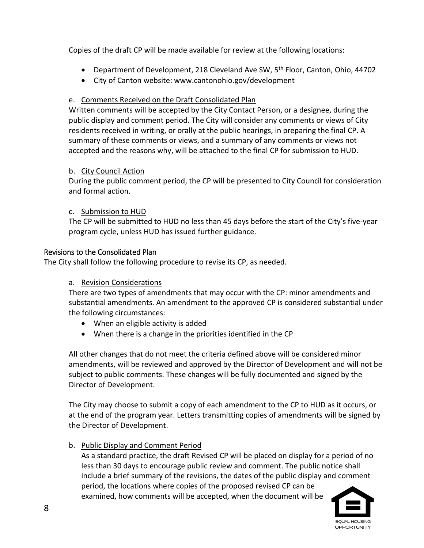Copies of the draft CP will be made available for review at the following locations:

- **•** Department of Development, 218 Cleveland Ave SW,  $5<sup>th</sup>$  Floor, Canton, Ohio, 44702
- City of Canton website: www.cantonohio.gov/development

## e. Comments Received on the Draft Consolidated Plan

Written comments will be accepted by the City Contact Person, or a designee, during the public display and comment period. The City will consider any comments or views of City residents received in writing, or orally at the public hearings, in preparing the final CP. A summary of these comments or views, and a summary of any comments or views not accepted and the reasons why, will be attached to the final CP for submission to HUD.

## b. City Council Action

During the public comment period, the CP will be presented to City Council for consideration and formal action.

## c. Submission to HUD

The CP will be submitted to HUD no less than 45 days before the start of the City's five-year program cycle, unless HUD has issued further guidance.

#### Revisions to the Consolidated Plan

The City shall follow the following procedure to revise its CP, as needed.

#### a. Revision Considerations

There are two types of amendments that may occur with the CP: minor amendments and substantial amendments. An amendment to the approved CP is considered substantial under the following circumstances:

- When an eligible activity is added
- When there is a change in the priorities identified in the CP

All other changes that do not meet the criteria defined above will be considered minor amendments, will be reviewed and approved by the Director of Development and will not be subject to public comments. These changes will be fully documented and signed by the Director of Development.

The City may choose to submit a copy of each amendment to the CP to HUD as it occurs, or at the end of the program year. Letters transmitting copies of amendments will be signed by the Director of Development.

b. Public Display and Comment Period

As a standard practice, the draft Revised CP will be placed on display for a period of no less than 30 days to encourage public review and comment. The public notice shall include a brief summary of the revisions, the dates of the public display and comment period, the locations where copies of the proposed revised CP can be examined, how comments will be accepted, when the document will be

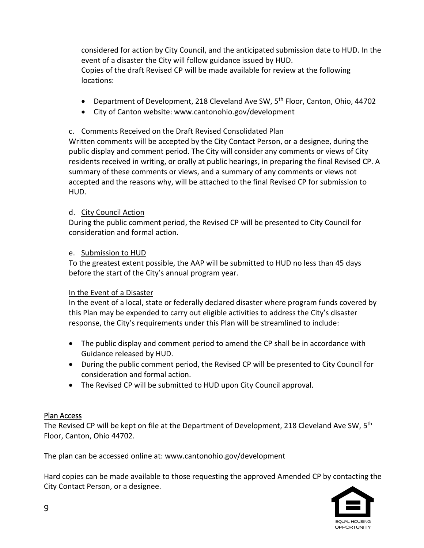considered for action by City Council, and the anticipated submission date to HUD. In the event of a disaster the City will follow guidance issued by HUD. Copies of the draft Revised CP will be made available for review at the following locations:

- Department of Development, 218 Cleveland Ave SW, 5<sup>th</sup> Floor, Canton, Ohio, 44702
- City of Canton website: www.cantonohio.gov/development

## c. Comments Received on the Draft Revised Consolidated Plan

Written comments will be accepted by the City Contact Person, or a designee, during the public display and comment period. The City will consider any comments or views of City residents received in writing, or orally at public hearings, in preparing the final Revised CP. A summary of these comments or views, and a summary of any comments or views not accepted and the reasons why, will be attached to the final Revised CP for submission to HUD.

## d. City Council Action

During the public comment period, the Revised CP will be presented to City Council for consideration and formal action.

#### e. Submission to HUD

To the greatest extent possible, the AAP will be submitted to HUD no less than 45 days before the start of the City's annual program year.

#### In the Event of a Disaster

In the event of a local, state or federally declared disaster where program funds covered by this Plan may be expended to carry out eligible activities to address the City's disaster response, the City's requirements under this Plan will be streamlined to include:

- The public display and comment period to amend the CP shall be in accordance with Guidance released by HUD.
- During the public comment period, the Revised CP will be presented to City Council for consideration and formal action.
- The Revised CP will be submitted to HUD upon City Council approval.

## Plan Access

The Revised CP will be kept on file at the Department of Development, 218 Cleveland Ave SW, 5<sup>th</sup> Floor, Canton, Ohio 44702.

The plan can be accessed online at: www.cantonohio.gov/development

Hard copies can be made available to those requesting the approved Amended CP by contacting the City Contact Person, or a designee.

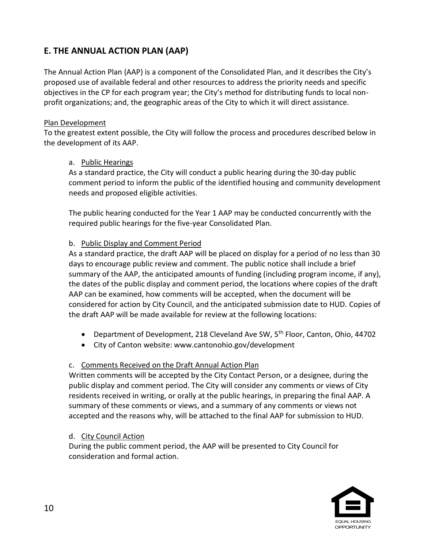# **E. THE ANNUAL ACTION PLAN (AAP)**

The Annual Action Plan (AAP) is a component of the Consolidated Plan, and it describes the City's proposed use of available federal and other resources to address the priority needs and specific objectives in the CP for each program year; the City's method for distributing funds to local nonprofit organizations; and, the geographic areas of the City to which it will direct assistance.

### Plan Development

To the greatest extent possible, the City will follow the process and procedures described below in the development of its AAP.

## a. Public Hearings

As a standard practice, the City will conduct a public hearing during the 30-day public comment period to inform the public of the identified housing and community development needs and proposed eligible activities.

The public hearing conducted for the Year 1 AAP may be conducted concurrently with the required public hearings for the five-year Consolidated Plan.

## b. Public Display and Comment Period

As a standard practice, the draft AAP will be placed on display for a period of no less than 30 days to encourage public review and comment. The public notice shall include a brief summary of the AAP, the anticipated amounts of funding (including program income, if any), the dates of the public display and comment period, the locations where copies of the draft AAP can be examined, how comments will be accepted, when the document will be considered for action by City Council, and the anticipated submission date to HUD. Copies of the draft AAP will be made available for review at the following locations:

- Department of Development, 218 Cleveland Ave SW, 5<sup>th</sup> Floor, Canton, Ohio, 44702
- City of Canton website: www.cantonohio.gov/development

## c. Comments Received on the Draft Annual Action Plan

Written comments will be accepted by the City Contact Person, or a designee, during the public display and comment period. The City will consider any comments or views of City residents received in writing, or orally at the public hearings, in preparing the final AAP. A summary of these comments or views, and a summary of any comments or views not accepted and the reasons why, will be attached to the final AAP for submission to HUD.

## d. City Council Action

During the public comment period, the AAP will be presented to City Council for consideration and formal action.

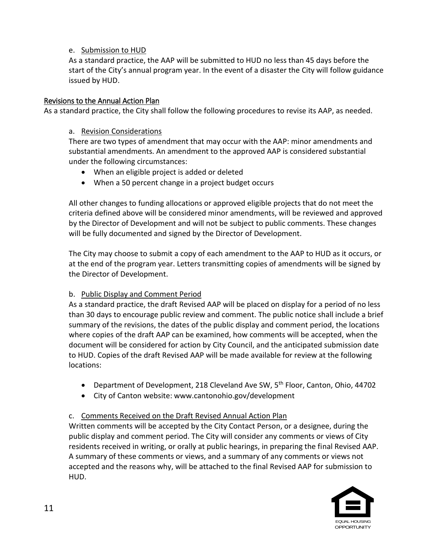## e. Submission to HUD

As a standard practice, the AAP will be submitted to HUD no less than 45 days before the start of the City's annual program year. In the event of a disaster the City will follow guidance issued by HUD.

### Revisions to the Annual Action Plan

As a standard practice, the City shall follow the following procedures to revise its AAP, as needed.

#### a. Revision Considerations

There are two types of amendment that may occur with the AAP: minor amendments and substantial amendments. An amendment to the approved AAP is considered substantial under the following circumstances:

- When an eligible project is added or deleted
- When a 50 percent change in a project budget occurs

All other changes to funding allocations or approved eligible projects that do not meet the criteria defined above will be considered minor amendments, will be reviewed and approved by the Director of Development and will not be subject to public comments. These changes will be fully documented and signed by the Director of Development.

The City may choose to submit a copy of each amendment to the AAP to HUD as it occurs, or at the end of the program year. Letters transmitting copies of amendments will be signed by the Director of Development.

#### b. Public Display and Comment Period

As a standard practice, the draft Revised AAP will be placed on display for a period of no less than 30 days to encourage public review and comment. The public notice shall include a brief summary of the revisions, the dates of the public display and comment period, the locations where copies of the draft AAP can be examined, how comments will be accepted, when the document will be considered for action by City Council, and the anticipated submission date to HUD. Copies of the draft Revised AAP will be made available for review at the following locations:

- Department of Development, 218 Cleveland Ave SW, 5<sup>th</sup> Floor, Canton, Ohio, 44702
- City of Canton website: www.cantonohio.gov/development

## c. Comments Received on the Draft Revised Annual Action Plan

Written comments will be accepted by the City Contact Person, or a designee, during the public display and comment period. The City will consider any comments or views of City residents received in writing, or orally at public hearings, in preparing the final Revised AAP. A summary of these comments or views, and a summary of any comments or views not accepted and the reasons why, will be attached to the final Revised AAP for submission to HUD.

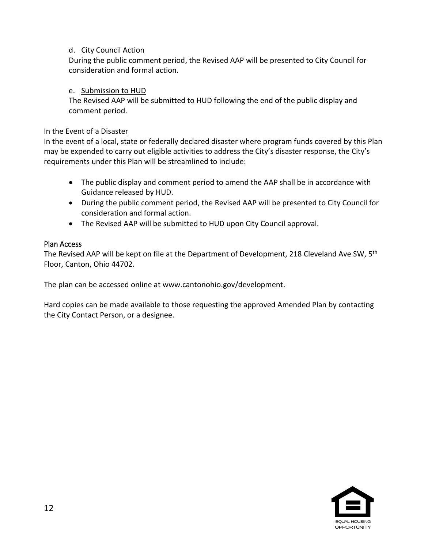#### d. City Council Action

During the public comment period, the Revised AAP will be presented to City Council for consideration and formal action.

## e. Submission to HUD

The Revised AAP will be submitted to HUD following the end of the public display and comment period.

### In the Event of a Disaster

In the event of a local, state or federally declared disaster where program funds covered by this Plan may be expended to carry out eligible activities to address the City's disaster response, the City's requirements under this Plan will be streamlined to include:

- The public display and comment period to amend the AAP shall be in accordance with Guidance released by HUD.
- During the public comment period, the Revised AAP will be presented to City Council for consideration and formal action.
- The Revised AAP will be submitted to HUD upon City Council approval.

## Plan Access

The Revised AAP will be kept on file at the Department of Development, 218 Cleveland Ave SW, 5<sup>th</sup> Floor, Canton, Ohio 44702.

The plan can be accessed online at www.cantonohio.gov/development.

Hard copies can be made available to those requesting the approved Amended Plan by contacting the City Contact Person, or a designee.

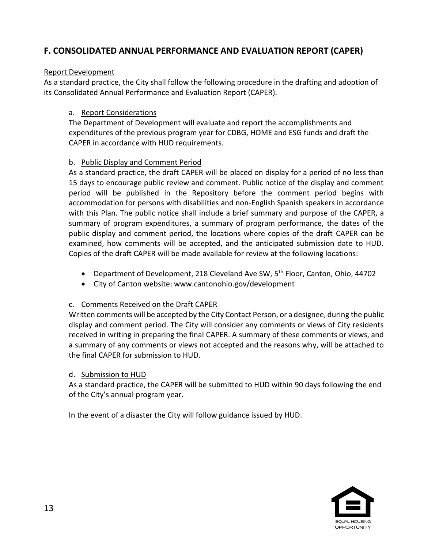# **F. CONSOLIDATED ANNUAL PERFORMANCE AND EVALUATION REPORT (CAPER)**

### Report Development

As a standard practice, the City shall follow the following procedure in the drafting and adoption of its Consolidated Annual Performance and Evaluation Report (CAPER).

## a. Report Considerations

The Department of Development will evaluate and report the accomplishments and expenditures of the previous program year for CDBG, HOME and ESG funds and draft the CAPER in accordance with HUD requirements.

## b. Public Display and Comment Period

As a standard practice, the draft CAPER will be placed on display for a period of no less than 15 days to encourage public review and comment. Public notice of the display and comment period will be published in the Repository before the comment period begins with accommodation for persons with disabilities and non-English Spanish speakers in accordance with this Plan. The public notice shall include a brief summary and purpose of the CAPER, a summary of program expenditures, a summary of program performance, the dates of the public display and comment period, the locations where copies of the draft CAPER can be examined, how comments will be accepted, and the anticipated submission date to HUD. Copies of the draft CAPER will be made available for review at the following locations:

- Department of Development, 218 Cleveland Ave SW, 5<sup>th</sup> Floor, Canton, Ohio, 44702
- City of Canton website: www.cantonohio.gov/development

#### c. Comments Received on the Draft CAPER

Written comments will be accepted by the City Contact Person, or a designee, during the public display and comment period. The City will consider any comments or views of City residents received in writing in preparing the final CAPER. A summary of these comments or views, and a summary of any comments or views not accepted and the reasons why, will be attached to the final CAPER for submission to HUD.

#### d. Submission to HUD

As a standard practice, the CAPER will be submitted to HUD within 90 days following the end of the City's annual program year.

In the event of a disaster the City will follow guidance issued by HUD.

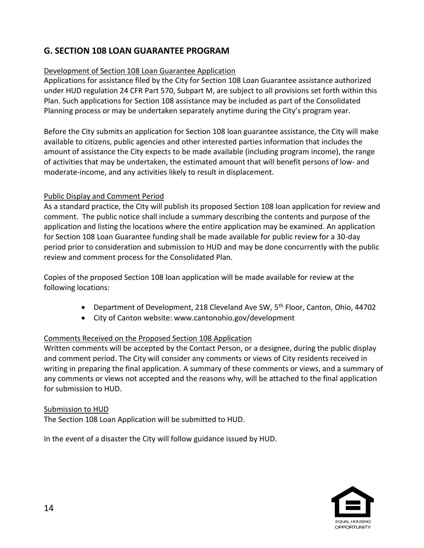# **G. SECTION 108 LOAN GUARANTEE PROGRAM**

## Development of Section 108 Loan Guarantee Application

Applications for assistance filed by the City for Section 108 Loan Guarantee assistance authorized under HUD regulation 24 CFR Part 570, Subpart M, are subject to all provisions set forth within this Plan. Such applications for Section 108 assistance may be included as part of the Consolidated Planning process or may be undertaken separately anytime during the City's program year.

Before the City submits an application for Section 108 loan guarantee assistance, the City will make available to citizens, public agencies and other interested parties information that includes the amount of assistance the City expects to be made available (including program income), the range of activities that may be undertaken, the estimated amount that will benefit persons of low- and moderate-income, and any activities likely to result in displacement.

## Public Display and Comment Period

As a standard practice, the City will publish its proposed Section 108 loan application for review and comment. The public notice shall include a summary describing the contents and purpose of the application and listing the locations where the entire application may be examined. An application for Section 108 Loan Guarantee funding shall be made available for public review for a 30-day period prior to consideration and submission to HUD and may be done concurrently with the public review and comment process for the Consolidated Plan.

Copies of the proposed Section 108 loan application will be made available for review at the following locations:

- Department of Development, 218 Cleveland Ave SW, 5<sup>th</sup> Floor, Canton, Ohio, 44702
- City of Canton website: www.cantonohio.gov/development

## Comments Received on the Proposed Section 108 Application

Written comments will be accepted by the Contact Person, or a designee, during the public display and comment period. The City will consider any comments or views of City residents received in writing in preparing the final application. A summary of these comments or views, and a summary of any comments or views not accepted and the reasons why, will be attached to the final application for submission to HUD.

#### Submission to HUD

The Section 108 Loan Application will be submitted to HUD.

In the event of a disaster the City will follow guidance issued by HUD.